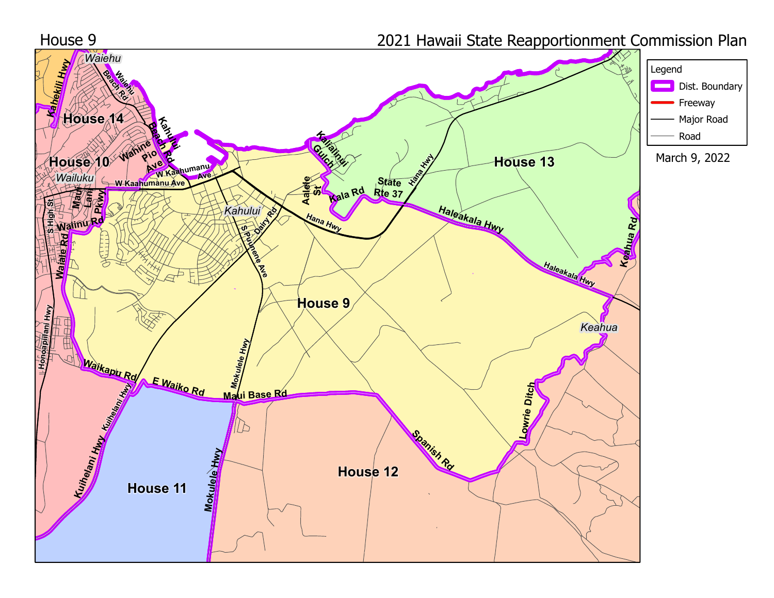